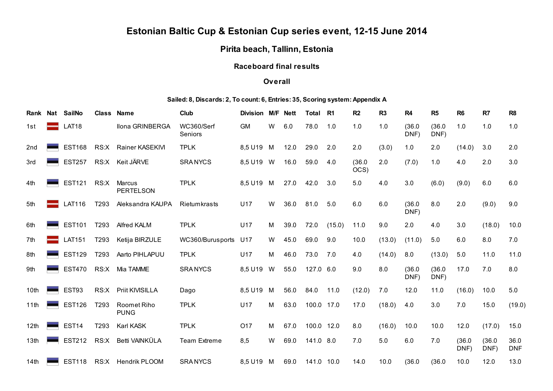# Estonian Baltic Cup & Estonian Cup series event, 12-15 June 2014

## Pirita beach, Tallinn, Estonia

## Raceboard final results

### **Overall**

### Sailed: 8, Discards: 2, To count: 6, Entries: 35, Scoring system: Appendix A

| Rank             | Nat | <b>SailNo</b> |                  | <b>Class Name</b>          | <b>Club</b>           | <b>Division</b> | M/F | <b>Nett</b> | <b>Total</b> | R <sub>1</sub> | R2             | R <sub>3</sub> | R <sub>4</sub> | R <sub>5</sub> | R <sub>6</sub> | R7             | R <sub>8</sub>     |
|------------------|-----|---------------|------------------|----------------------------|-----------------------|-----------------|-----|-------------|--------------|----------------|----------------|----------------|----------------|----------------|----------------|----------------|--------------------|
| 1st              |     | LAT18         |                  | Ilona GRINBERGA            | WC360/Serf<br>Seniors | <b>GM</b>       | W   | 6.0         | 78.0         | 1.0            | 1.0            | 1.0            | (36.0)<br>DNF) | (36.0)<br>DNF) | 1.0            | 1.0            | 1.0                |
| 2 <sub>nd</sub>  |     | <b>EST168</b> | RS:X             | Rainer KASEKIVI            | <b>TPLK</b>           | 8,5 U19         | M   | 12.0        | 29.0         | 2.0            | 2.0            | (3.0)          | 1.0            | 2.0            | (14.0)         | 3.0            | 2.0                |
| 3rd              |     | <b>EST257</b> | RS: X            | Keit JÄRVE                 | <b>SRANYCS</b>        | 8,5 U19         | W   | 16.0        | 59.0         | 4.0            | (36.0)<br>OCS) | 2.0            | (7.0)          | 1.0            | 4.0            | 2.0            | 3.0                |
| 4th              |     | <b>EST121</b> | RS:X             | Marcus<br><b>PERTELSON</b> | <b>TPLK</b>           | 8,5 U19 M       |     | 27.0        | 42.0         | 3.0            | 5.0            | 4.0            | 3.0            | (6.0)          | (9.0)          | 6.0            | 6.0                |
| 5th              |     | <b>LAT116</b> | T <sub>293</sub> | Aleksandra KAUPA           | Rietumkrasts          | U17             | W   | 36.0        | 81.0         | 5.0            | 6.0            | 6.0            | (36.0)<br>DNF) | 8.0            | 2.0            | (9.0)          | 9.0                |
| 6th              |     | <b>EST101</b> | T293             | Alfred KALM                | <b>TPLK</b>           | U17             | м   | 39.0        | 72.0         | (15.0)         | 11.0           | 9.0            | 2.0            | 4.0            | 3.0            | (18.0)         | 10.0               |
| 7th              |     | <b>LAT151</b> | T293             | Ketija BIRZULE             | WC360/Burusports      | U17             | W   | 45.0        | 69.0         | 9.0            | 10.0           | (13.0)         | (11.0)         | 5.0            | 6.0            | 8.0            | 7.0                |
| 8th              |     | <b>EST129</b> | T293             | Aarto PIHLAPUU             | <b>TPLK</b>           | U17             | М   | 46.0        | 73.0         | 7.0            | 4.0            | (14.0)         | 8.0            | (13.0)         | 5.0            | 11.0           | 11.0               |
| 9th              |     | <b>EST470</b> | RS:X             | Mia TAMME                  | <b>SRANYCS</b>        | 8,5 U19         | W   | 55.0        | 127.0 6.0    |                | 9.0            | 8.0            | (36.0)<br>DNF) | (36.0)<br>DNF) | 17.0           | 7.0            | 8.0                |
| 10th             |     | EST93         | RS: X            | Priit KIVISILLA            | Dago                  | 8,5 U19         | M   | 56.0        | 84.0         | 11.0           | (12.0)         | 7.0            | 12.0           | 11.0           | (16.0)         | 10.0           | 5.0                |
| 11th             |     | <b>EST126</b> | T293             | Roomet Riho<br><b>PUNG</b> | <b>TPLK</b>           | U17             | M   | 63.0        | 100.0 17.0   |                | 17.0           | (18.0)         | 4.0            | 3.0            | 7.0            | 15.0           | (19.0)             |
| 12 <sub>th</sub> |     | <b>EST14</b>  | T293             | Karl KASK                  | <b>TPLK</b>           | O <sub>17</sub> | M   | 67.0        | 100.0 12.0   |                | 8.0            | (16.0)         | 10.0           | 10.0           | 12.0           | (17.0)         | 15.0               |
| 13 <sub>th</sub> |     | <b>EST212</b> | RS:X             | Betti VAINKÜLA             | <b>Team Extreme</b>   | 8,5             | W   | 69.0        | 141.0 8.0    |                | 7.0            | 5.0            | 6.0            | 7.0            | (36.0)<br>DNF) | (36.0)<br>DNF) | 36.0<br><b>DNF</b> |
| 14th             |     | <b>EST118</b> | RS: X            | <b>Hendrik PLOOM</b>       | <b>SRANYCS</b>        | 8,5 U19         | M   | 69.0        | 141.0 10.0   |                | 14.0           | 10.0           | (36.0)         | (36.0)         | 10.0           | 12.0           | 13.0               |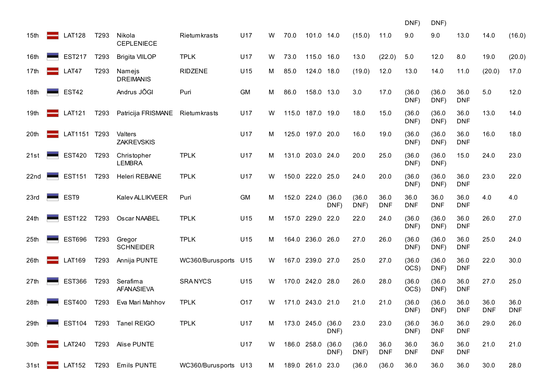|                  |                  |                  |                               |                      |           |   |                     |                   |                |                |                    | DNF)               | DNF)               |                    |                    |                    |
|------------------|------------------|------------------|-------------------------------|----------------------|-----------|---|---------------------|-------------------|----------------|----------------|--------------------|--------------------|--------------------|--------------------|--------------------|--------------------|
| 15 <sub>th</sub> | <b>LAT128</b>    | T293             | Nikola<br><b>CEPLENIECE</b>   | Rietumkrasts         | U17       | W | 70.0                | 101.0 14.0        |                | (15.0)         | 11.0               | 9.0                | 9.0                | 13.0               | 14.0               | (16.0)             |
| 16th             | <b>EST217</b>    | T293             | <b>Brigita VIILOP</b>         | <b>TPLK</b>          | U17       | W | 73.0                | 115.0 16.0        |                | 13.0           | (22.0)             | 5.0                | 12.0               | 8.0                | 19.0               | (20.0)             |
| 17th             | LAT47            | T293             | Namejs<br><b>DREIMANIS</b>    | <b>RIDZENE</b>       | U15       | М | 85.0                | 124.0 18.0        |                | (19.0)         | 12.0               | 13.0               | 14.0               | 11.0               | (20.0)             | 17.0               |
| 18th             | <b>EST42</b>     |                  | Andrus JÕGI                   | Puri                 | <b>GM</b> | м | 86.0                | 158.0 13.0        |                | 3.0            | 17.0               | (36.0)<br>DNF)     | (36.0)<br>DNF)     | 36.0<br><b>DNF</b> | 5.0                | 12.0               |
| 19th             | <b>LAT121</b>    | T293             | Patricija FRISMANE            | Rietumkrasts         | U17       | W |                     | 115.0 187.0 19.0  |                | 18.0           | 15.0               | (36.0)<br>DNF)     | (36.0)<br>DNF)     | 36.0<br><b>DNF</b> | 13.0               | 14.0               |
| 20th             | LAT1151 T293     |                  | Valters<br><b>ZAKREVSKIS</b>  |                      | U17       | м |                     | 125.0 197.0 20.0  |                | 16.0           | 19.0               | (36.0)<br>DNF)     | (36.0)<br>DNF)     | 36.0<br><b>DNF</b> | 16.0               | 18.0               |
| 21st             | <b>EST420</b>    | T293             | Christopher<br><b>LEMBRA</b>  | <b>TPLK</b>          | U17       | м |                     | 131.0 203.0 24.0  |                | 20.0           | 25.0               | (36.0)<br>DNF)     | (36.0)<br>DNF)     | 15.0               | 24.0               | 23.0               |
| 22nd             | <b>EST151</b>    | T293             | <b>Heleri REBANE</b>          | <b>TPLK</b>          | U17       | W |                     | 150.0 222.0 25.0  |                | 24.0           | 20.0               | (36.0)<br>DNF)     | (36.0)<br>DNF)     | 36.0<br><b>DNF</b> | 23.0               | 22.0               |
| 23rd             | EST <sub>9</sub> |                  | Kalev ALLIKVEER               | Puri                 | <b>GM</b> | м |                     | 152.0 224.0       | (36.0)<br>DNF) | (36.0)<br>DNF) | 36.0<br><b>DNF</b> | 36.0<br><b>DNF</b> | 36.0<br><b>DNF</b> | 36.0<br><b>DNF</b> | 4.0                | 4.0                |
| 24 <sub>th</sub> | <b>EST122</b>    | T293             | Oscar NAABEL                  | <b>TPLK</b>          | U15       | м | 157.0               | 229.0             | 22.0           | 22.0           | 24.0               | (36.0)<br>DNF)     | (36.0)<br>DNF)     | 36.0<br><b>DNF</b> | 26.0               | 27.0               |
| 25th             | <b>EST696</b>    | T293             | Gregor<br><b>SCHNEIDER</b>    | <b>TPLK</b>          | U15       | м |                     | 164.0 236.0 26.0  |                | 27.0           | 26.0               | (36.0)<br>DNF)     | (36.0)<br>DNF)     | 36.0<br><b>DNF</b> | 25.0               | 24.0               |
| 26th             | <b>LAT169</b>    | T293             | Annija PUNTE                  | WC360/Burusports U15 |           | W |                     | 167.0 239.0 27.0  |                | 25.0           | 27.0               | (36.0)<br>OCS)     | (36.0)<br>DNF)     | 36.0<br><b>DNF</b> | 22.0               | 30.0               |
| 27th             | <b>EST366</b>    | T293             | Serafima<br><b>AFANASIEVA</b> | <b>SRANYCS</b>       | U15       | W |                     | 170.0 242.0 28.0  |                | 26.0           | 28.0               | (36.0)<br>OCS)     | (36.0)<br>DNF)     | 36.0<br><b>DNF</b> | 27.0               | 25.0               |
| 28th             | <b>EST400</b>    | T <sub>293</sub> | Eva Mari Mahhov               | <b>TPLK</b>          | O17       | W |                     | 171.0 243.0 21.0  |                | 21.0           | 21.0               | (36.0)<br>DNF)     | (36.0)<br>DNF)     | 36.0<br><b>DNF</b> | 36.0<br><b>DNF</b> | 36.0<br><b>DNF</b> |
| 29th             |                  |                  | EST104 T293 Tanel REIGO       | <b>TPLK</b>          | U17       |   | M 173.0 245.0 (36.0 |                   | DNF)           | 23.0           | 23.0               | (36.0)<br>DNF)     | 36.0<br><b>DNF</b> | 36.0<br><b>DNF</b> | 29.0               | 26.0               |
| 30th             |                  |                  | LAT240 T293 Alise PUNTE       |                      | U17       | W |                     | 186.0 258.0 (36.0 | DNF)           | (36.0)<br>DNF) | 36.0<br><b>DNF</b> | 36.0<br><b>DNF</b> | 36.0<br><b>DNF</b> | 36.0<br><b>DNF</b> | 21.0               | 21.0               |
| 31st             |                  |                  | LAT152 T293 Emils PUNTE       | WC360/Burusports U13 |           | M |                     | 189.0 261.0 23.0  |                | (36.0)         | (36.0)             | 36.0               | 36.0               | 36.0               | 30.0               | 28.0               |